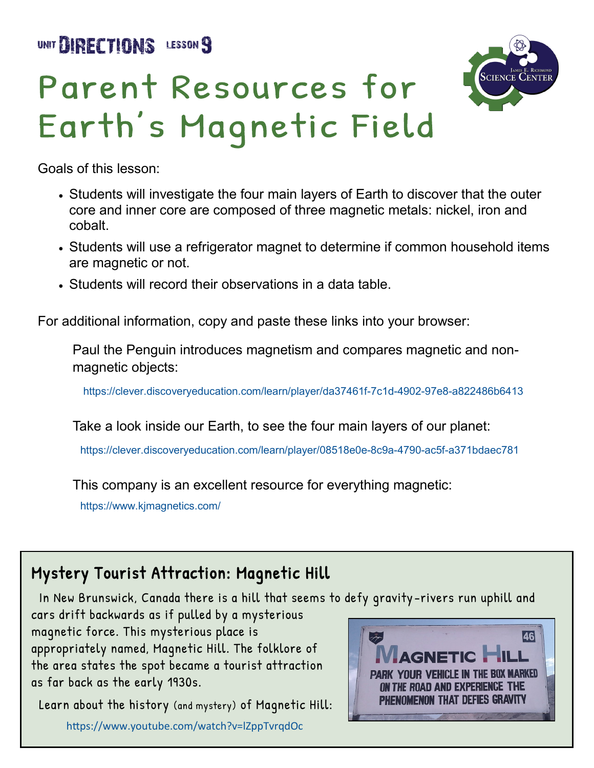UNIT BIRECTIONS LESSON 9





Goals of this lesson:

- Students will investigate the four main layers of Earth to discover that the outer core and inner core are composed of three magnetic metals: nickel, iron and cobalt.
- Students will use a refrigerator magnet to determine if common household items are magnetic or not.
- Students will record their observations in a data table.

For additional information, copy and paste these links into your browser:

Paul the Penguin introduces magnetism and compares magnetic and nonmagnetic objects:

[https://clever.discoveryeducation.com/learn/player/da37461f](https://clever.discoveryeducation.com/learn/player/da37461f-7c1d-4902-97e8-a822486b6413)-7c1d-4902-97e8-a822486b6413

Take a look inside our Earth, to see the four main layers of our planet:

[https://clever.discoveryeducation.com/learn/player/08518e0e](https://clever.discoveryeducation.com/learn/player/08518e0e-8c9a-4790-ac5f-a371bdaec781)-8c9a-4790-ac5f-a371bdaec781

This company is an excellent resource for everything magnetic:

<https://www.kjmagnetics.com/>

#### Mystery Tourist Attraction: Magnetic Hill

In New Brunswick, Canada there is a hill that seems to defy gravity -rivers run uphill and

cars drift backwards as if pulled by a mysterious magnetic force. This mysterious place is appropriately named, Magnetic Hill. The folklore of the area states the spot became a tourist attraction as far back as the early 1930s.

 Learn about the history (and mystery) of Magnetic Hill: <https://www.youtube.com/watch?v=lZppTvrqdOc>

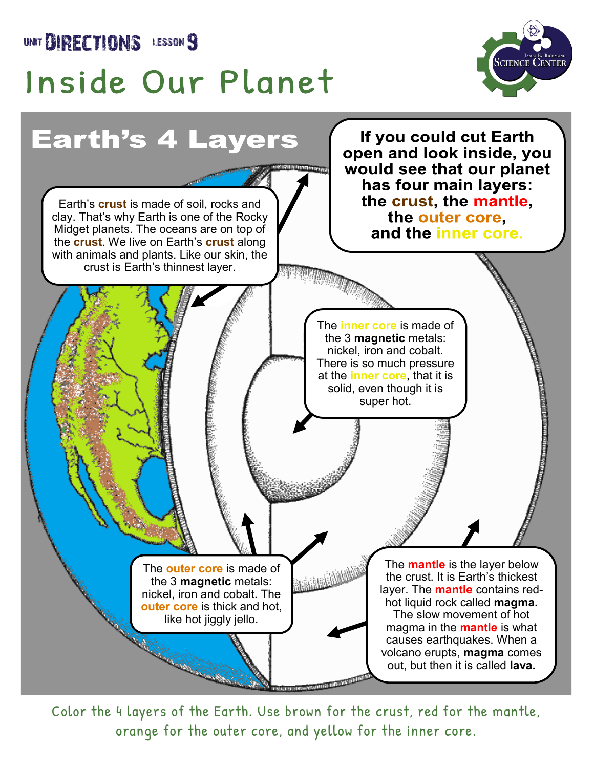UNIT **DIRECTIONS** LESSON 9

## Inside Our Planet





Color the 4 layers of the Earth. Use brown for the crust, red for the mantle, orange for the outer core, and yellow for the inner core.